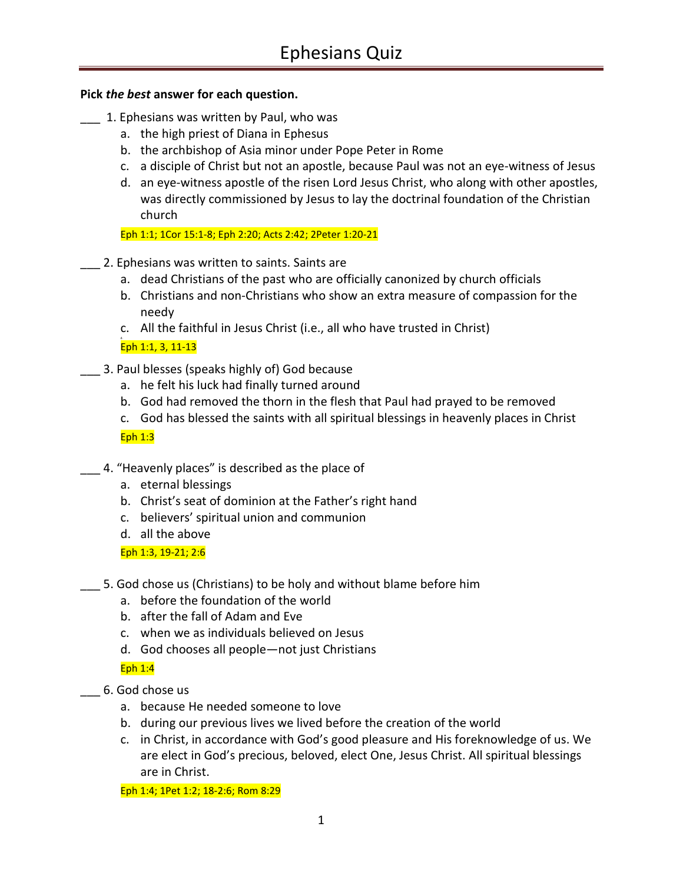### **Pick** *the best* **answer for each question.**

- \_\_\_ 1. Ephesians was written by Paul, who was
	- a. the high priest of Diana in Ephesus
	- b. the archbishop of Asia minor under Pope Peter in Rome
	- c. a disciple of Christ but not an apostle, because Paul was not an eye-witness of Jesus
	- d. an eye-witness apostle of the risen Lord Jesus Christ, who along with other apostles, was directly commissioned by Jesus to lay the doctrinal foundation of the Christian church

Eph 1:1; 1Cor 15:1-8; Eph 2:20; Acts 2:42; 2Peter 1:20-21

- \_\_\_ 2. Ephesians was written to saints. Saints are
	- a. dead Christians of the past who are officially canonized by church officials
	- b. Christians and non-Christians who show an extra measure of compassion for the needy
	- c. All the faithful in Jesus Christ (i.e., all who have trusted in Christ)

#### d. Eph 1:1, 3, 11-13

- \_\_\_ 3. Paul blesses (speaks highly of) God because
	- a. he felt his luck had finally turned around
	- b. God had removed the thorn in the flesh that Paul had prayed to be removed
	- c. God has blessed the saints with all spiritual blessings in heavenly places in Christ

Eph 1:3

- 4. "Heavenly places" is described as the place of
	- a. eternal blessings
	- b. Christ's seat of dominion at the Father's right hand
	- c. believers' spiritual union and communion
	- d. all the above

Eph 1:3, 19-21; 2:6

- \_\_\_ 5. God chose us (Christians) to be holy and without blame before him
	- a. before the foundation of the world
	- b. after the fall of Adam and Eve
	- c. when we as individuals believed on Jesus
	- d. God chooses all people—not just Christians

Eph 1:4

- \_\_\_ 6. God chose us
	- a. because He needed someone to love
	- b. during our previous lives we lived before the creation of the world
	- c. in Christ, in accordance with God's good pleasure and His foreknowledge of us. We are elect in God's precious, beloved, elect One, Jesus Christ. All spiritual blessings are in Christ.

Eph 1:4; 1Pet 1:2; 18-2:6; Rom 8:29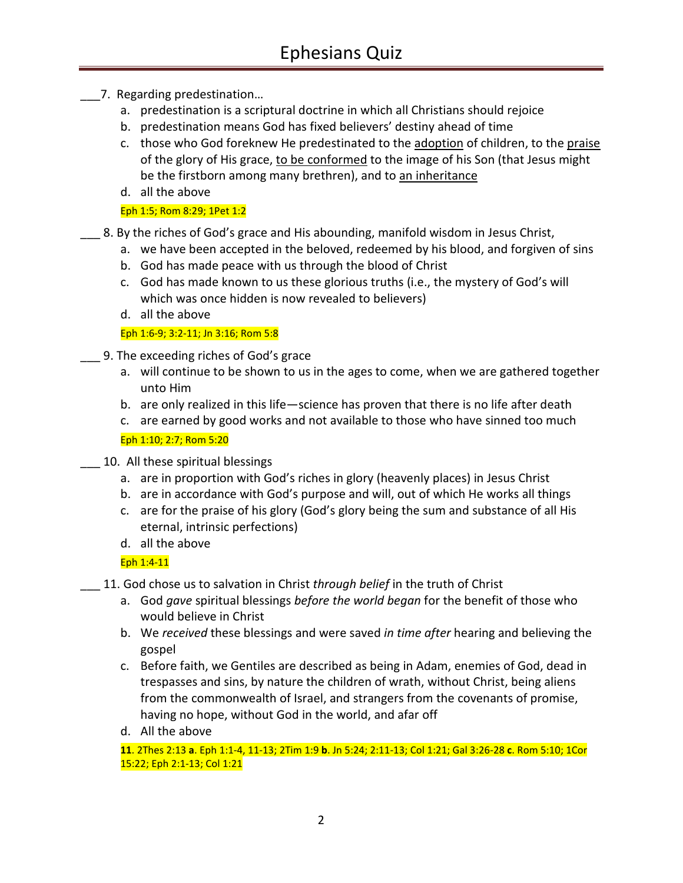- \_\_\_7. Regarding predestination…
	- a. predestination is a scriptural doctrine in which all Christians should rejoice
	- b. predestination means God has fixed believers' destiny ahead of time
	- c. those who God foreknew He predestinated to the adoption of children, to the praise of the glory of His grace, to be conformed to the image of his Son (that Jesus might be the firstborn among many brethren), and to an inheritance
	- d. all the above

Eph 1:5; Rom 8:29; 1Pet 1:2

- \_\_\_ 8. By the riches of God's grace and His abounding, manifold wisdom in Jesus Christ,
	- a. we have been accepted in the beloved, redeemed by his blood, and forgiven of sins
	- b. God has made peace with us through the blood of Christ
	- c. God has made known to us these glorious truths (i.e., the mystery of God's will which was once hidden is now revealed to believers)
	- d. all the above

#### Eph 1:6-9; 3:2-11; Jn 3:16; Rom 5:8

- \_\_\_ 9. The exceeding riches of God's grace
	- a. will continue to be shown to us in the ages to come, when we are gathered together unto Him
	- b. are only realized in this life—science has proven that there is no life after death
	- c. are earned by good works and not available to those who have sinned too much

Eph 1:10; 2:7; Rom 5:20

- \_\_\_ 10. All these spiritual blessings
	- a. are in proportion with God's riches in glory (heavenly places) in Jesus Christ
	- b. are in accordance with God's purpose and will, out of which He works all things
	- c. are for the praise of his glory (God's glory being the sum and substance of all His eternal, intrinsic perfections)
	- d. all the above

Eph 1:4-11

- \_\_\_ 11. God chose us to salvation in Christ *through belief* in the truth of Christ
	- a. God *gave* spiritual blessings *before the world began* for the benefit of those who would believe in Christ
	- b. We *received* these blessings and were saved *in time after* hearing and believing the gospel
	- c. Before faith, we Gentiles are described as being in Adam, enemies of God, dead in trespasses and sins, by nature the children of wrath, without Christ, being aliens from the commonwealth of Israel, and strangers from the covenants of promise, having no hope, without God in the world, and afar off
	- d. All the above

**11**. 2Thes 2:13 **a**. Eph 1:1-4, 11-13; 2Tim 1:9 **b**. Jn 5:24; 2:11-13; Col 1:21; Gal 3:26-28 **c**. Rom 5:10; 1Cor 15:22; Eph 2:1-13; Col 1:21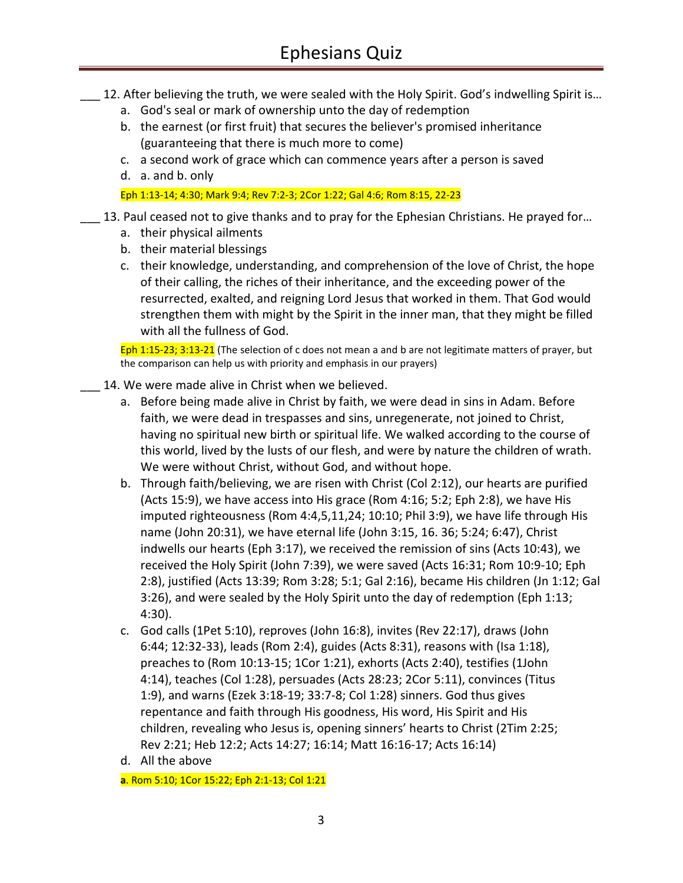- 12. After believing the truth, we were sealed with the Holy Spirit. God's indwelling Spirit is...
	- a. God's seal or mark of ownership unto the day of redemption
	- b. the earnest (or first fruit) that secures the believer's promised inheritance (guaranteeing that there is much more to come)
	- c. a second work of grace which can commence years after a person is saved
	- d. a. and b. only

Eph 1:13-14; 4:30; Mark 9:4; Rev 7:2-3; 2Cor 1:22; Gal 4:6; Rom 8:15, 22-23

- 13. Paul ceased not to give thanks and to pray for the Ephesian Christians. He prayed for...
	- a. their physical ailments
	- b. their material blessings
	- c. their knowledge, understanding, and comprehension of the love of Christ, the hope of their calling, the riches of their inheritance, and the exceeding power of the resurrected, exalted, and reigning Lord Jesus that worked in them. That God would strengthen them with might by the Spirit in the inner man, that they might be filled with all the fullness of God.

Eph 1:15-23; 3:13-21 (The selection of c does not mean a and b are not legitimate matters of prayer, but the comparison can help us with priority and emphasis in our prayers)

- 14. We were made alive in Christ when we believed.
	- a. Before being made alive in Christ by faith, we were dead in sins in Adam. Before faith, we were dead in trespasses and sins, unregenerate, not joined to Christ, having no spiritual new birth or spiritual life. We walked according to the course of this world, lived by the lusts of our flesh, and were by nature the children of wrath. We were without Christ, without God, and without hope.
	- b. Through faith/believing, we are risen with Christ (Col 2:12), our hearts are purified (Acts 15:9), we have access into His grace (Rom 4:16; 5:2; Eph 2:8), we have His imputed righteousness (Rom 4:4,5,11,24; 10:10; Phil 3:9), we have life through His name (John 20:31), we have eternal life (John 3:15, 16. 36; 5:24; 6:47), Christ indwells our hearts (Eph 3:17), we received the remission of sins (Acts 10:43), we received the Holy Spirit (John 7:39), we were saved (Acts 16:31; Rom 10:9-10; Eph 2:8), justified (Acts 13:39; Rom 3:28; 5:1; Gal 2:16), became His children (Jn 1:12; Gal 3:26), and were sealed by the Holy Spirit unto the day of redemption (Eph 1:13; 4:30).
	- c. God calls (1Pet 5:10), reproves (John 16:8), invites (Rev 22:17), draws (John 6:44; 12:32-33), leads (Rom 2:4), guides (Acts 8:31), reasons with (Isa 1:18), preaches to (Rom 10:13-15; 1Cor 1:21), exhorts (Acts 2:40), testifies (1John 4:14), teaches (Col 1:28), persuades (Acts 28:23; 2Cor 5:11), convinces (Titus 1:9), and warns (Ezek 3:18-19; 33:7-8; Col 1:28) sinners. God thus gives repentance and faith through His goodness, His word, His Spirit and His children, revealing who Jesus is, opening sinners' hearts to Christ (2Tim 2:25; Rev 2:21; Heb 12:2; Acts 14:27; 16:14; Matt 16:16-17; Acts 16:14)
	- d. All the above

**a**. Rom 5:10; 1Cor 15:22; Eph 2:1-13; Col 1:21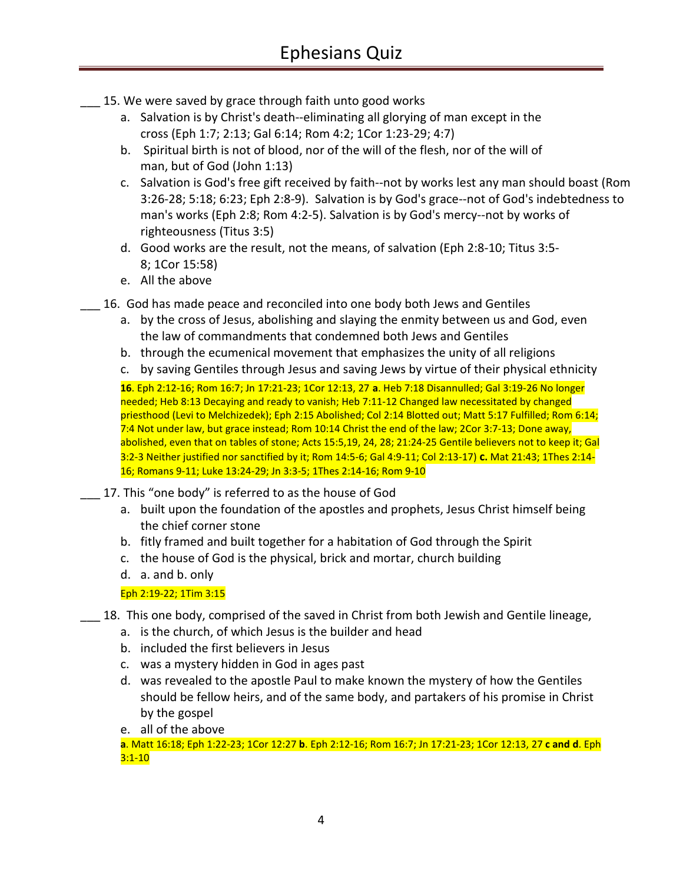- 15. We were saved by grace through faith unto good works
	- a. Salvation is by Christ's death--eliminating all glorying of man except in the cross (Eph 1:7; 2:13; Gal 6:14; Rom 4:2; 1Cor 1:23-29; 4:7)
	- b. Spiritual birth is not of blood, nor of the will of the flesh, nor of the will of man, but of God (John 1:13)
	- c. Salvation is God's free gift received by faith--not by works lest any man should boast (Rom 3:26-28; 5:18; 6:23; Eph 2:8-9). Salvation is by God's grace--not of God's indebtedness to man's works (Eph 2:8; Rom 4:2-5). Salvation is by God's mercy--not by works of righteousness (Titus 3:5)
	- d. Good works are the result, not the means, of salvation (Eph 2:8-10; Titus 3:5- 8; 1Cor 15:58)
	- e. All the above
- \_\_\_ 16. God has made peace and reconciled into one body both Jews and Gentiles
	- a. by the cross of Jesus, abolishing and slaying the enmity between us and God, even the law of commandments that condemned both Jews and Gentiles
	- b. through the ecumenical movement that emphasizes the unity of all religions
	- c. by saving Gentiles through Jesus and saving Jews by virtue of their physical ethnicity

**16**. Eph 2:12-16; Rom 16:7; Jn 17:21-23; 1Cor 12:13, 27 **a**. Heb 7:18 Disannulled; Gal 3:19-26 No longer needed; Heb 8:13 Decaying and ready to vanish; Heb 7:11-12 Changed law necessitated by changed priesthood (Levi to Melchizedek); Eph 2:15 Abolished; Col 2:14 Blotted out; Matt 5:17 Fulfilled; Rom 6:14; 7:4 Not under law, but grace instead; Rom 10:14 Christ the end of the law; 2Cor 3:7-13; Done away, abolished, even that on tables of stone; Acts 15:5,19, 24, 28; 21:24-25 Gentile believers not to keep it; Gal 3:2-3 Neither justified nor sanctified by it; Rom 14:5-6; Gal 4:9-11; Col 2:13-17) **c.** Mat 21:43; 1Thes 2:14- 16; Romans 9-11; Luke 13:24-29; Jn 3:3-5; 1Thes 2:14-16; Rom 9-10

- 17. This "one body" is referred to as the house of God
	- a. built upon the foundation of the apostles and prophets, Jesus Christ himself being the chief corner stone
	- b. fitly framed and built together for a habitation of God through the Spirit
	- c. the house of God is the physical, brick and mortar, church building
	- d. a. and b. only

Eph 2:19-22; 1Tim 3:15

- 18. This one body, comprised of the saved in Christ from both Jewish and Gentile lineage,
	- a. is the church, of which Jesus is the builder and head
	- b. included the first believers in Jesus
	- c. was a mystery hidden in God in ages past
	- d. was revealed to the apostle Paul to make known the mystery of how the Gentiles should be fellow heirs, and of the same body, and partakers of his promise in Christ by the gospel
	- e. all of the above

**a**. Matt 16:18; Eph 1:22-23; 1Cor 12:27 **b**. Eph 2:12-16; Rom 16:7; Jn 17:21-23; 1Cor 12:13, 27 **c and d**. Eph 3:1-10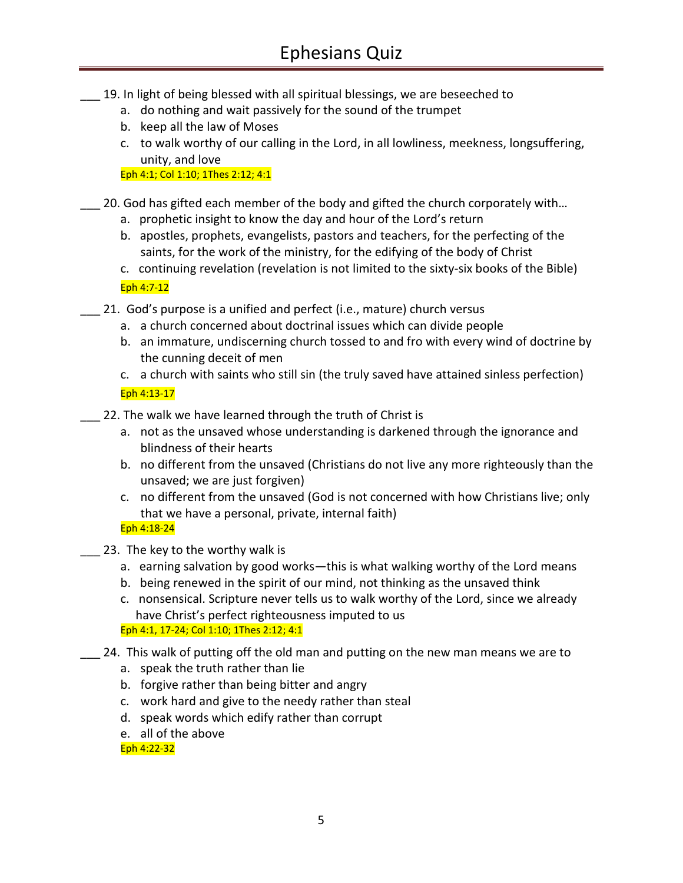- \_\_\_ 19. In light of being blessed with all spiritual blessings, we are beseeched to
	- a. do nothing and wait passively for the sound of the trumpet
	- b. keep all the law of Moses
	- c. to walk worthy of our calling in the Lord, in all lowliness, meekness, longsuffering, unity, and love

Eph 4:1; Col 1:10; 1Thes 2:12; 4:1

\_\_\_ 20. God has gifted each member of the body and gifted the church corporately with…

- a. prophetic insight to know the day and hour of the Lord's return
- b. apostles, prophets, evangelists, pastors and teachers, for the perfecting of the saints, for the work of the ministry, for the edifying of the body of Christ
- c. continuing revelation (revelation is not limited to the sixty-six books of the Bible) Eph 4:7-12
- \_\_\_ 21. God's purpose is a unified and perfect (i.e., mature) church versus
	- a. a church concerned about doctrinal issues which can divide people
	- b. an immature, undiscerning church tossed to and fro with every wind of doctrine by the cunning deceit of men
	- c. a church with saints who still sin (the truly saved have attained sinless perfection) Eph 4:13-17
- 22. The walk we have learned through the truth of Christ is
	- a. not as the unsaved whose understanding is darkened through the ignorance and blindness of their hearts
	- b. no different from the unsaved (Christians do not live any more righteously than the unsaved; we are just forgiven)
	- c. no different from the unsaved (God is not concerned with how Christians live; only that we have a personal, private, internal faith)

# Eph 4:18-24

- 23. The key to the worthy walk is
	- a. earning salvation by good works—this is what walking worthy of the Lord means
	- b. being renewed in the spirit of our mind, not thinking as the unsaved think
	- c. nonsensical. Scripture never tells us to walk worthy of the Lord, since we already have Christ's perfect righteousness imputed to us

Eph 4:1, 17-24; Col 1:10; 1Thes 2:12; 4:1

- \_\_\_ 24. This walk of putting off the old man and putting on the new man means we are to
	- a. speak the truth rather than lie
	- b. forgive rather than being bitter and angry
	- c. work hard and give to the needy rather than steal
	- d. speak words which edify rather than corrupt
	- e. all of the above

Eph 4:22-32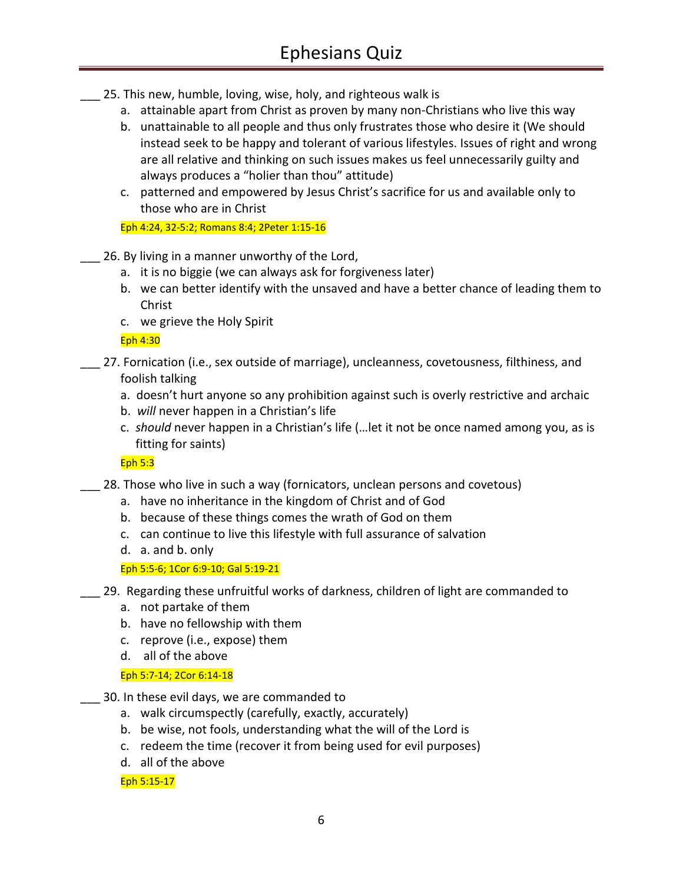- 25. This new, humble, loving, wise, holy, and righteous walk is
	- a. attainable apart from Christ as proven by many non-Christians who live this way
	- b. unattainable to all people and thus only frustrates those who desire it (We should instead seek to be happy and tolerant of various lifestyles. Issues of right and wrong are all relative and thinking on such issues makes us feel unnecessarily guilty and always produces a "holier than thou" attitude)
	- c. patterned and empowered by Jesus Christ's sacrifice for us and available only to those who are in Christ

Eph 4:24, 32-5:2; Romans 8:4; 2Peter 1:15-16

- 26. By living in a manner unworthy of the Lord,
	- a. it is no biggie (we can always ask for forgiveness later)
	- b. we can better identify with the unsaved and have a better chance of leading them to Christ
	- c. we grieve the Holy Spirit

Eph 4:30

- 27. Fornication (i.e., sex outside of marriage), uncleanness, covetousness, filthiness, and foolish talking
	- a. doesn't hurt anyone so any prohibition against such is overly restrictive and archaic
	- b. *will* never happen in a Christian's life
	- c. *should* never happen in a Christian's life (…let it not be once named among you, as is fitting for saints)

Eph 5:3

- \_\_\_ 28. Those who live in such a way (fornicators, unclean persons and covetous)
	- a. have no inheritance in the kingdom of Christ and of God
	- b. because of these things comes the wrath of God on them
	- c. can continue to live this lifestyle with full assurance of salvation
	- d. a. and b. only

Eph 5:5-6; 1Cor 6:9-10; Gal 5:19-21

- \_\_\_ 29. Regarding these unfruitful works of darkness, children of light are commanded to
	- a. not partake of them
	- b. have no fellowship with them
	- c. reprove (i.e., expose) them
	- d. all of the above

Eph 5:7-14; 2Cor 6:14-18

- \_\_\_ 30. In these evil days, we are commanded to
	- a. walk circumspectly (carefully, exactly, accurately)
	- b. be wise, not fools, understanding what the will of the Lord is
	- c. redeem the time (recover it from being used for evil purposes)
	- d. all of the above

Eph 5:15-17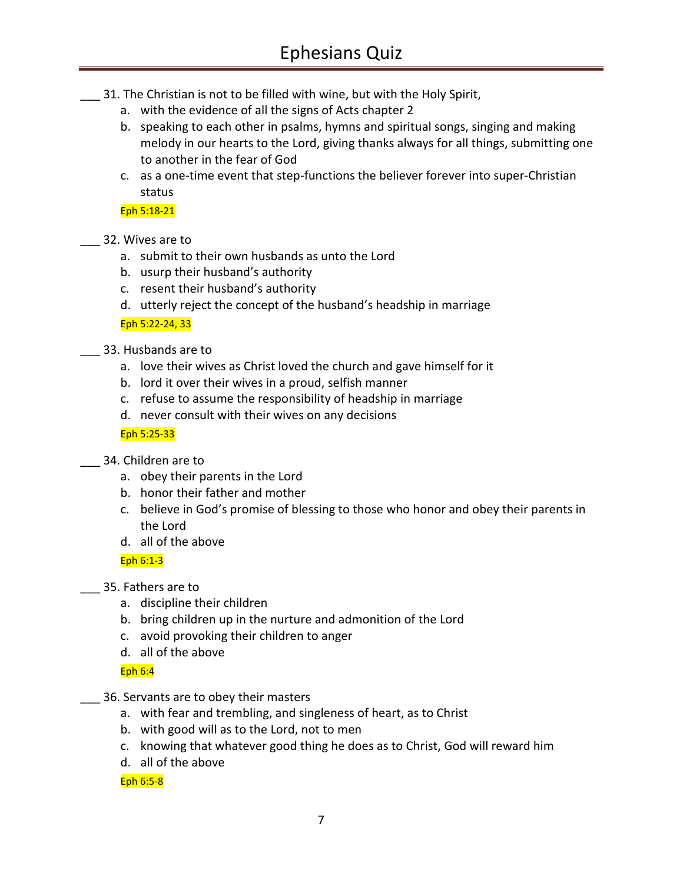- \_\_\_ 31. The Christian is not to be filled with wine, but with the Holy Spirit,
	- a. with the evidence of all the signs of Acts chapter 2
	- b. speaking to each other in psalms, hymns and spiritual songs, singing and making melody in our hearts to the Lord, giving thanks always for all things, submitting one to another in the fear of God
	- c. as a one-time event that step-functions the believer forever into super-Christian status

Eph 5:18-21

# \_\_\_ 32. Wives are to

- a. submit to their own husbands as unto the Lord
- b. usurp their husband's authority
- c. resent their husband's authority
- d. utterly reject the concept of the husband's headship in marriage

Eph 5:22-24, 33

- \_\_\_ 33. Husbands are to
	- a. love their wives as Christ loved the church and gave himself for it
	- b. lord it over their wives in a proud, selfish manner
	- c. refuse to assume the responsibility of headship in marriage
	- d. never consult with their wives on any decisions

#### Eph 5:25-33

- \_\_\_ 34. Children are to
	- a. obey their parents in the Lord
	- b. honor their father and mother
	- c. believe in God's promise of blessing to those who honor and obey their parents in the Lord
	- d. all of the above

Eph 6:1-3

- \_\_\_ 35. Fathers are to
	- a. discipline their children
	- b. bring children up in the nurture and admonition of the Lord
	- c. avoid provoking their children to anger
	- d. all of the above

Eph 6:4

- \_\_\_ 36. Servants are to obey their masters
	- a. with fear and trembling, and singleness of heart, as to Christ
	- b. with good will as to the Lord, not to men
	- c. knowing that whatever good thing he does as to Christ, God will reward him
	- d. all of the above

Eph 6:5-8